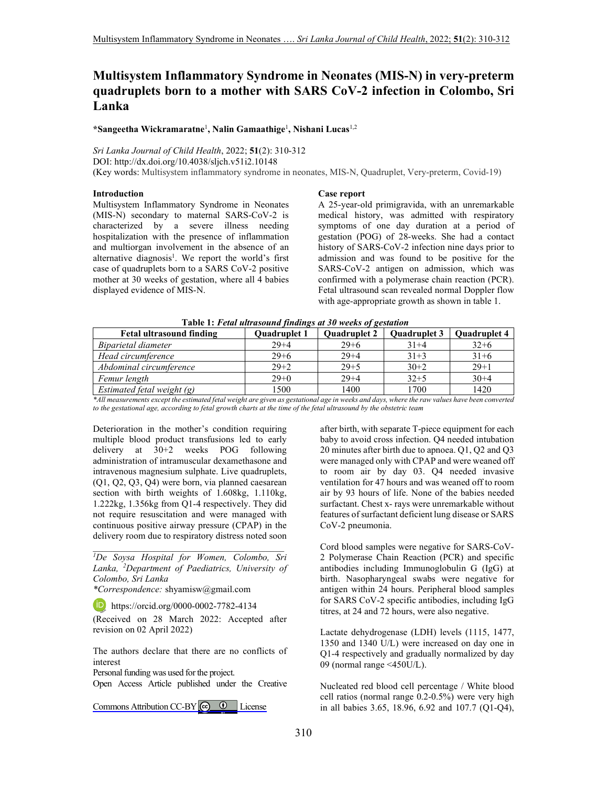# **Multisystem Inflammatory Syndrome in Neonates (MIS-N) in very-preterm quadruplets born to a mother with SARS CoV-2 infection in Colombo, Sri Lanka**

**\*Sangeetha Wickramaratne**<sup>1</sup> **, Nalin Gamaathige**<sup>1</sup> **, Nishani Lucas**1,2

*Sri Lanka Journal of Child Health*, 2022; **51**(2): 310-312

DOI: http://dx.doi.org/10.4038/sljch.v51i2.10148

(Key words: Multisystem inflammatory syndrome in neonates, MIS-N, Quadruplet, Very-preterm, Covid-19)

## **Introduction**

Multisystem Inflammatory Syndrome in Neonates (MIS-N) secondary to maternal SARS-CoV-2 is characterized by a severe illness needing hospitalization with the presence of inflammation and multiorgan involvement in the absence of an alternative diagnosis<sup>1</sup>. We report the world's first case of quadruplets born to a SARS CoV-2 positive mother at 30 weeks of gestation, where all 4 babies displayed evidence of MIS-N.

#### **Case report**

A 25-year-old primigravida, with an unremarkable medical history, was admitted with respiratory symptoms of one day duration at a period of gestation (POG) of 28-weeks. She had a contact history of SARS-CoV-2 infection nine days prior to admission and was found to be positive for the SARS-CoV-2 antigen on admission, which was confirmed with a polymerase chain reaction (PCR). Fetal ultrasound scan revealed normal Doppler flow with age-appropriate growth as shown in table 1.

| Tapic 1. Penn unrusounu finangs at 50 weeks of gestanon<br><b>Fetal ultrasound finding</b> |                     |              |                     |
|--------------------------------------------------------------------------------------------|---------------------|--------------|---------------------|
|                                                                                            |                     |              | <b>Ouadruplet 4</b> |
| $29 + 4$                                                                                   | $29 + 6$            | $31 + 4$     | $32+6$              |
| $29 + 6$                                                                                   | $29 + 4$            | $31 + 3$     | $31 + 6$            |
| $29 + 2$                                                                                   | $29 + 5$            | $30+2$       | $29+1$              |
| $29+0$                                                                                     | $29 + 4$            | $32 + 5$     | $30+4$              |
| 1500                                                                                       | 1400                | 1700         | 1420                |
|                                                                                            | <b>Ouadruplet 1</b> | Quadruplet 2 | <b>Ouadruplet 3</b> |

 **Table 1:** *Fetal ultrasound findings at 30 weeks of gestation* 

*\*All measurements except the estimated fetal weight are given as gestational age in weeks and days, where the raw values have been converted*  to the gestational age, according to fetal growth charts at the time of the fetal ultrasound by the obstetric team

Deterioration in the mother's condition requiring multiple blood product transfusions led to early delivery at 30+2 weeks POG following administration of intramuscular dexamethasone and intravenous magnesium sulphate. Live quadruplets, (Q1, Q2, Q3, Q4) were born, via planned caesarean section with birth weights of 1.608kg, 1.110kg, 1.222kg, 1.356kg from Q1-4 respectively. They did not require resuscitation and were managed with continuous positive airway pressure (CPAP) in the delivery room due to respiratory distress noted soon

*<sup>1</sup>De Soysa Hospital for Women, Colombo, Sri Lanka, <sup>2</sup>Department of Paediatrics, University of Colombo, Sri Lanka* 

\_\_\_\_\_\_\_\_\_\_\_\_\_\_\_\_\_\_\_\_\_\_\_\_\_\_\_\_\_\_\_\_\_\_\_\_\_\_\_\_\_

*\*Correspondence:* shyamisw@gmail.com

**iD**, https://orcid.org/0000-0002-7782-4134

(Received on 28 March 2022: Accepted after revision on 02 April 2022)

The authors declare that there are no conflicts of interest

Personal funding was used for the project.

Open Access Article published under the Creative

Commons Attribution CC-BY  $\bigcirc$   $\bullet$  License

after birth, with separate T-piece equipment for each baby to avoid cross infection. Q4 needed intubation 20 minutes after birth due to apnoea. Q1, Q2 and Q3 were managed only with CPAP and were weaned off to room air by day 03. Q4 needed invasive ventilation for 47 hours and was weaned off to room air by 93 hours of life. None of the babies needed surfactant. Chest x- rays were unremarkable without features of surfactant deficient lung disease or SARS CoV-2 pneumonia.

Cord blood samples were negative for SARS-CoV-2 Polymerase Chain Reaction (PCR) and specific antibodies including Immunoglobulin G (IgG) at birth. Nasopharyngeal swabs were negative for antigen within 24 hours. Peripheral blood samples for SARS CoV-2 specific antibodies, including IgG titres, at 24 and 72 hours, were also negative.

Lactate dehydrogenase (LDH) levels (1115, 1477, 1350 and 1340 U/L) were increased on day one in Q1-4 respectively and gradually normalized by day 09 (normal range <450U/L).

Nucleated red blood cell percentage / White blood cell ratios (normal range 0.2-0.5%) were very high in all babies 3.65, 18.96, 6.92 and 107.7 (Q1-Q4),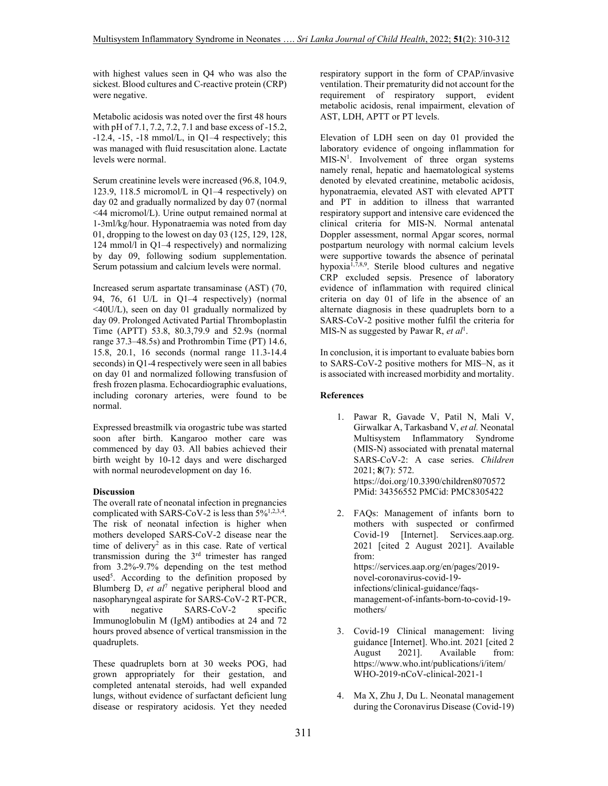with highest values seen in Q4 who was also the sickest. Blood cultures and C-reactive protein (CRP) were negative.

Metabolic acidosis was noted over the first 48 hours with pH of 7.1, 7.2, 7.2, 7.1 and base excess of -15.2,  $-12.4$ ,  $-15$ ,  $-18$  mmol/L, in  $Q1-4$  respectively; this was managed with fluid resuscitation alone. Lactate levels were normal.

Serum creatinine levels were increased (96.8, 104.9, 123.9, 118.5 micromol/L in Q1–4 respectively) on day 02 and gradually normalized by day 07 (normal <44 micromol/L). Urine output remained normal at 1-3ml/kg/hour. Hyponatraemia was noted from day 01, dropping to the lowest on day 03 (125, 129, 128, 124 mmol/l in Q1–4 respectively) and normalizing by day 09, following sodium supplementation. Serum potassium and calcium levels were normal.

Increased serum aspartate transaminase (AST) (70, 94, 76, 61 U/L in Q1–4 respectively) (normal <40U/L), seen on day 01 gradually normalized by day 09. Prolonged Activated Partial Thromboplastin Time (APTT) 53.8, 80.3,79.9 and 52.9s (normal range 37.3–48.5s) and Prothrombin Time (PT) 14.6, 15.8, 20.1, 16 seconds (normal range 11.3-14.4 seconds) in Q1-4 respectively were seen in all babies on day 01 and normalized following transfusion of fresh frozen plasma. Echocardiographic evaluations, including coronary arteries, were found to be normal.

Expressed breastmilk via orogastric tube was started soon after birth. Kangaroo mother care was commenced by day 03. All babies achieved their birth weight by 10-12 days and were discharged with normal neurodevelopment on day 16.

# **Discussion**

The overall rate of neonatal infection in pregnancies complicated with SARS-CoV-2 is less than  $5\frac{6}{1,2,3,4}$ . The risk of neonatal infection is higher when mothers developed SARS-CoV-2 disease near the time of delivery<sup>2</sup> as in this case. Rate of vertical transmission during the 3rd trimester has ranged from 3.2%-9.7% depending on the test method used<sup>5</sup>. According to the definition proposed by Blumberg D, *et al*<sup>7</sup> negative peripheral blood and nasopharyngeal aspirate for SARS-CoV-2 RT-PCR, with negative SARS-CoV-2 specific Immunoglobulin M (IgM) antibodies at 24 and 72 hours proved absence of vertical transmission in the quadruplets.

These quadruplets born at 30 weeks POG, had grown appropriately for their gestation, and completed antenatal steroids, had well expanded lungs, without evidence of surfactant deficient lung disease or respiratory acidosis. Yet they needed

respiratory support in the form of CPAP/invasive ventilation. Their prematurity did not account for the requirement of respiratory support, evident metabolic acidosis, renal impairment, elevation of AST, LDH, APTT or PT levels.

Elevation of LDH seen on day 01 provided the laboratory evidence of ongoing inflammation for MIS-N<sup>1</sup>. Involvement of three organ systems namely renal, hepatic and haematological systems denoted by elevated creatinine, metabolic acidosis, hyponatraemia, elevated AST with elevated APTT and PT in addition to illness that warranted respiratory support and intensive care evidenced the clinical criteria for MIS-N. Normal antenatal Doppler assessment, normal Apgar scores, normal postpartum neurology with normal calcium levels were supportive towards the absence of perinatal hypoxia<sup>1,7,8,9</sup>. Sterile blood cultures and negative CRP excluded sepsis. Presence of laboratory evidence of inflammation with required clinical criteria on day 01 of life in the absence of an alternate diagnosis in these quadruplets born to a SARS-CoV-2 positive mother fulfil the criteria for MIS-N as suggested by Pawar R, et al<sup>1</sup>.

In conclusion, it is important to evaluate babies born to SARS-CoV-2 positive mothers for MIS–N, as it is associated with increased morbidity and mortality.

## **References**

- 1. Pawar R, Gavade V, Patil N, Mali V, Girwalkar A, Tarkasband V, *et al.* Neonatal Multisystem Inflammatory Syndrome (MIS-N) associated with prenatal maternal SARS-CoV-2: A case series. *Children* 2021; **8**(7): 572. https://doi.org/10.3390/children8070572 PMid: 34356552 PMCid: PMC8305422
- 2. FAQs: Management of infants born to mothers with suspected or confirmed Covid-19 [Internet]. Services.aap.org. 2021 [cited 2 August 2021]. Available from: https://services.aap.org/en/pages/2019 novel-coronavirus-covid-19 infections/clinical-guidance/faqsmanagement-of-infants-born-to-covid-19 mothers/
- 3. Covid-19 Clinical management: living guidance [Internet]. Who.int. 2021 [cited 2 August 2021]. Available from: https://www.who.int/publications/i/item/ WHO-2019-nCoV-clinical-2021-1
- 4. Ma X, Zhu J, Du L. Neonatal management during the Coronavirus Disease (Covid-19)